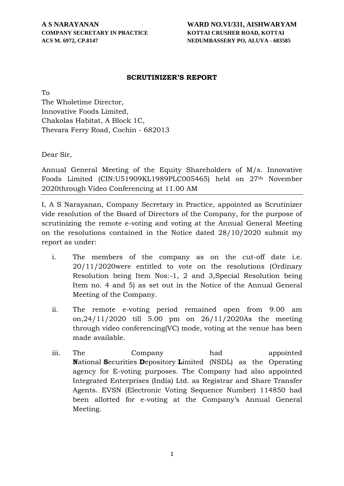#### **SCRUTINIZER'S REPORT**

To

The Wholetime Director, Innovative Foods Limited, Chakolas Habitat, A Block 1C, Thevara Ferry Road, Cochin - 682013

Dear Sir,

Annual General Meeting of the Equity Shareholders of M/s. Innovative Foods Limited (CIN:U51909KL1989PLC005465) held on 27th November 2020through Video Conferencing at 11.00 AM

I, A S Narayanan, Company Secretary in Practice, appointed as Scrutinizer vide resolution of the Board of Directors of the Company, for the purpose of scrutinizing the remote e-voting and voting at the Annual General Meeting on the resolutions contained in the Notice dated 28/10/2020 submit my report as under:

- i. The members of the company as on the cut-off date i.e. 20/11/2020were entitled to vote on the resolutions (Ordinary Resolution being Item Nos:-1, 2 and 3,Special Resolution being Item no. 4 and 5) as set out in the Notice of the Annual General Meeting of the Company.
- ii. The remote e-voting period remained open from 9.00 am on,24/11/2020 till 5.00 pm on 26/11/2020As the meeting through video conferencing(VC) mode, voting at the venue has been made available.
- iii. The Company had appointed **N**ational **S**ecurities **D**epository **L**imited (NSDL) as the Operating agency for E-voting purposes. The Company had also appointed Integrated Enterprises (India) Ltd. as Registrar and Share Transfer Agents. EVSN (Electronic Voting Sequence Number) 114850 had been allotted for e-voting at the Company's Annual General Meeting.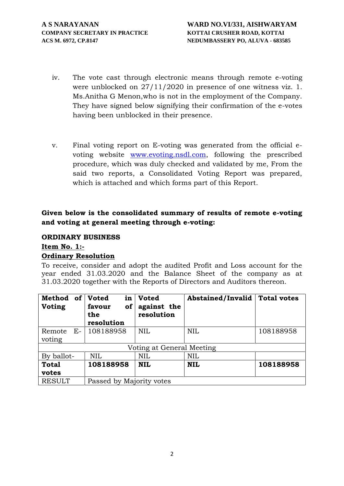- iv. The vote cast through electronic means through remote e-voting were unblocked on 27/11/2020 in presence of one witness viz. 1. Ms.Anitha G Menon,who is not in the employment of the Company. They have signed below signifying their confirmation of the e-votes having been unblocked in their presence.
- v. Final voting report on E-voting was generated from the official e voting website www.evoting.nsdl.com, following the prescribed procedure, which was duly checked and validated by me, From the said two reports, a Consolidated Voting Report was prepared, which is attached and which forms part of this Report.

## **Given below is the consolidated summary of results of remote e-voting and voting at general meeting through e-voting:**

#### **ORDINARY BUSINESS**

#### **Item No. 1:- Ordinary Resolution**

To receive, consider and adopt the audited Profit and Loss account for the year ended 31.03.2020 and the Balance Sheet of the company as at 31.03.2020 together with the Reports of Directors and Auditors thereon.

| <b>Method</b><br><b>of</b><br><b>Voting</b> | <b>Voted</b><br>in<br>of<br>favour<br>the<br>resolution | <b>Voted</b><br>against the<br>resolution | <b>Abstained/Invalid</b> | <b>Total votes</b> |
|---------------------------------------------|---------------------------------------------------------|-------------------------------------------|--------------------------|--------------------|
| E-<br>Remote<br>voting                      | 108188958                                               | <b>NIL</b>                                | <b>NIL</b>               | 108188958          |
|                                             |                                                         | Voting at General Meeting                 |                          |                    |
| By ballot-                                  | <b>NIL</b>                                              | <b>NIL</b>                                | <b>NIL</b>               |                    |
| <b>Total</b><br>votes                       | 108188958                                               | <b>NIL</b>                                | <b>NIL</b>               | 108188958          |
| <b>RESULT</b>                               | Passed by Majority votes                                |                                           |                          |                    |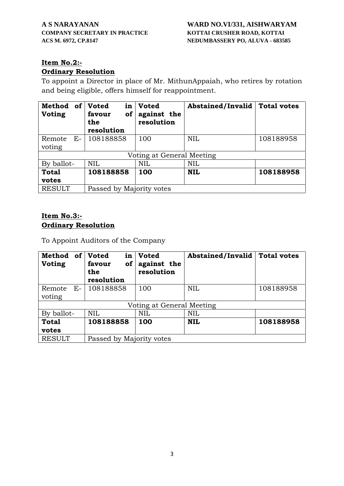# **Item No.2:-**

# **Ordinary Resolution**

To appoint a Director in place of Mr. MithunAppaiah, who retires by rotation and being eligible, offers himself for reappointment.

| Method<br><b>of</b><br><b>Voting</b> | <b>Voted</b><br>in<br>favour<br><b>of</b><br>the<br>resolution | <b>Voted</b><br>against the<br>resolution | <b>Abstained/Invalid</b> | <b>Total votes</b> |
|--------------------------------------|----------------------------------------------------------------|-------------------------------------------|--------------------------|--------------------|
| $E-$<br>Remote<br>voting             | 108188858                                                      | 100                                       | <b>NIL</b>               | 108188958          |
|                                      |                                                                | Voting at General Meeting                 |                          |                    |
| By ballot-                           | <b>NIL</b>                                                     | <b>NIL</b>                                | <b>NIL</b>               |                    |
| <b>Total</b><br>votes                | 108188858                                                      | 100                                       | <b>NIL</b>               | 108188958          |
| <b>RESULT</b>                        | Passed by Majority votes                                       |                                           |                          |                    |

## **Item No.3:- Ordinary Resolution**

To Appoint Auditors of the Company

| Method<br><b>of</b><br>Voting | <b>Voted</b><br>in<br>favour<br>of<br>the<br>resolution | <b>Voted</b><br>against the<br>resolution | <b>Abstained/Invalid</b> | <b>Total votes</b> |
|-------------------------------|---------------------------------------------------------|-------------------------------------------|--------------------------|--------------------|
| E-<br>Remote<br>voting        | 108188858                                               | 100                                       | <b>NIL</b>               | 108188958          |
|                               |                                                         | Voting at General Meeting                 |                          |                    |
| By ballot-                    | <b>NIL</b>                                              | <b>NIL</b>                                | <b>NIL</b>               |                    |
| <b>Total</b><br>votes         | 108188858                                               | 100                                       | <b>NIL</b>               | 108188958          |
| <b>RESULT</b>                 | Passed by Majority votes                                |                                           |                          |                    |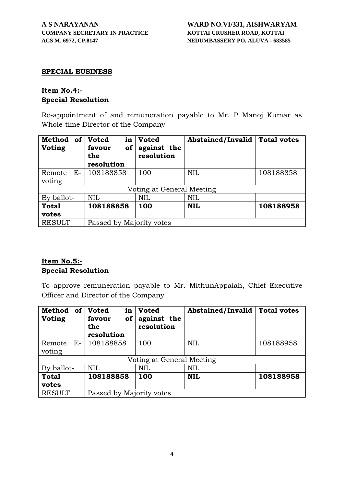#### **SPECIAL BUSINESS**

#### **Item No.4:- Special Resolution**

Re-appointment of and remuneration payable to Mr. P Manoj Kumar as Whole-time Director of the Company

| Method<br><b>of</b><br><b>Voting</b> | <b>Voted</b><br>in<br>of<br>favour<br>the<br>resolution | <b>Voted</b><br>against the<br>resolution | Abstained/Invalid | <b>Total votes</b> |
|--------------------------------------|---------------------------------------------------------|-------------------------------------------|-------------------|--------------------|
| $E-$<br>Remote<br>voting             | 108188858                                               | 100                                       | <b>NIL</b>        | 108188858          |
|                                      |                                                         | Voting at General Meeting                 |                   |                    |
| By ballot-                           | <b>NIL</b>                                              | <b>NIL</b>                                | <b>NIL</b>        |                    |
| <b>Total</b><br>votes                | 108188858                                               | 100                                       | <b>NIL</b>        | 108188958          |
| <b>RESULT</b>                        | Passed by Majority votes                                |                                           |                   |                    |

### **Item No.5:- Special Resolution**

To approve remuneration payable to Mr. MithunAppaiah, Chief Executive Officer and Director of the Company

| Method<br><b>of</b><br><b>Voting</b> | <b>Voted</b><br>in<br>favour<br>0f<br>the<br>resolution | <b>Voted</b><br>against the<br>resolution | <b>Abstained/Invalid</b> | <b>Total votes</b> |
|--------------------------------------|---------------------------------------------------------|-------------------------------------------|--------------------------|--------------------|
| $E-$<br>Remote<br>voting             | 108188858                                               | 100                                       | <b>NIL</b>               | 108188958          |
|                                      |                                                         | Voting at General Meeting                 |                          |                    |
| By ballot-                           | <b>NIL</b>                                              | <b>NIL</b>                                | <b>NIL</b>               |                    |
| <b>Total</b><br>votes                | 108188858                                               | 100                                       | <b>NIL</b>               | 108188958          |
| <b>RESULT</b>                        | Passed by Majority votes                                |                                           |                          |                    |